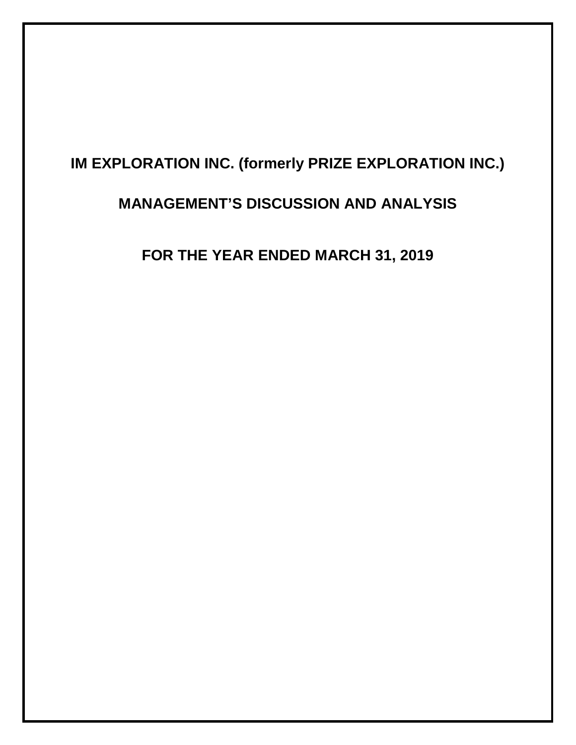# **IM EXPLORATION INC. (formerly PRIZE EXPLORATION INC.)**

# **MANAGEMENT'S DISCUSSION AND ANALYSIS**

**FOR THE YEAR ENDED MARCH 31, 2019**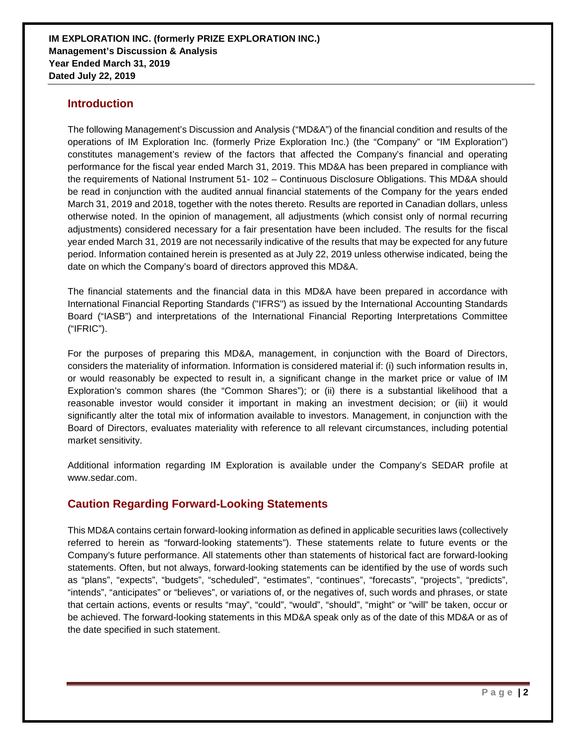### **Introduction**

The following Management's Discussion and Analysis ("MD&A") of the financial condition and results of the operations of IM Exploration Inc. (formerly Prize Exploration Inc.) (the "Company" or "IM Exploration") constitutes management's review of the factors that affected the Company's financial and operating performance for the fiscal year ended March 31, 2019. This MD&A has been prepared in compliance with the requirements of National Instrument 51- 102 – Continuous Disclosure Obligations. This MD&A should be read in conjunction with the audited annual financial statements of the Company for the years ended March 31, 2019 and 2018, together with the notes thereto. Results are reported in Canadian dollars, unless otherwise noted. In the opinion of management, all adjustments (which consist only of normal recurring adjustments) considered necessary for a fair presentation have been included. The results for the fiscal year ended March 31, 2019 are not necessarily indicative of the results that may be expected for any future period. Information contained herein is presented as at July 22, 2019 unless otherwise indicated, being the date on which the Company's board of directors approved this MD&A.

The financial statements and the financial data in this MD&A have been prepared in accordance with International Financial Reporting Standards ("IFRS") as issued by the International Accounting Standards Board ("IASB") and interpretations of the International Financial Reporting Interpretations Committee ("IFRIC").

For the purposes of preparing this MD&A, management, in conjunction with the Board of Directors, considers the materiality of information. Information is considered material if: (i) such information results in, or would reasonably be expected to result in, a significant change in the market price or value of IM Exploration's common shares (the "Common Shares"); or (ii) there is a substantial likelihood that a reasonable investor would consider it important in making an investment decision; or (iii) it would significantly alter the total mix of information available to investors. Management, in conjunction with the Board of Directors, evaluates materiality with reference to all relevant circumstances, including potential market sensitivity.

Additional information regarding IM Exploration is available under the Company's SEDAR profile at www.sedar.com.

# **Caution Regarding Forward-Looking Statements**

This MD&A contains certain forward-looking information as defined in applicable securities laws (collectively referred to herein as "forward-looking statements"). These statements relate to future events or the Company's future performance. All statements other than statements of historical fact are forward-looking statements. Often, but not always, forward-looking statements can be identified by the use of words such as "plans", "expects", "budgets", "scheduled", "estimates", "continues", "forecasts", "projects", "predicts", "intends", "anticipates" or "believes", or variations of, or the negatives of, such words and phrases, or state that certain actions, events or results "may", "could", "would", "should", "might" or "will" be taken, occur or be achieved. The forward-looking statements in this MD&A speak only as of the date of this MD&A or as of the date specified in such statement.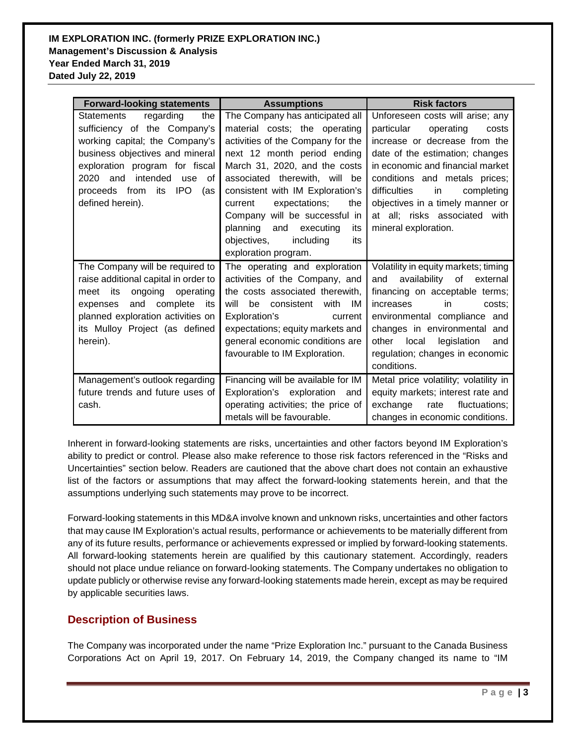| <b>Forward-looking statements</b>                                                                                                                                                                                                                                              | <b>Assumptions</b>                                                                                                                                                                                                                                                                                                                                                                                                  | <b>Risk factors</b>                                                                                                                                                                                                                                                                                                                             |  |
|--------------------------------------------------------------------------------------------------------------------------------------------------------------------------------------------------------------------------------------------------------------------------------|---------------------------------------------------------------------------------------------------------------------------------------------------------------------------------------------------------------------------------------------------------------------------------------------------------------------------------------------------------------------------------------------------------------------|-------------------------------------------------------------------------------------------------------------------------------------------------------------------------------------------------------------------------------------------------------------------------------------------------------------------------------------------------|--|
| regarding<br>Statements<br>the<br>sufficiency of the Company's<br>working capital; the Company's<br>business objectives and mineral<br>exploration program for fiscal<br>2020<br>intended<br>and<br>use<br>0f<br>proceeds from<br>its<br><b>IPO</b><br>(as<br>defined herein). | The Company has anticipated all<br>material costs; the operating<br>activities of the Company for the<br>next 12 month period ending<br>March 31, 2020, and the costs<br>associated therewith, will<br>be<br>consistent with IM Exploration's<br>expectations;<br>the<br>current<br>Company will be successful in<br>planning<br>executing<br>and<br>its<br>objectives,<br>including<br>its<br>exploration program. | Unforeseen costs will arise; any<br>particular<br>operating<br>costs<br>increase or decrease from the<br>date of the estimation; changes<br>in economic and financial market<br>conditions and metals prices;<br>difficulties<br>in.<br>completing<br>objectives in a timely manner or<br>at all; risks associated with<br>mineral exploration. |  |
| The Company will be required to<br>raise additional capital in order to<br>its<br>ongoing<br>operating<br>meet<br>and<br>complete<br>its<br>expenses<br>planned exploration activities on<br>its Mulloy Project (as defined<br>herein).                                        | The operating and exploration<br>activities of the Company, and<br>the costs associated therewith,<br>consistent<br>with<br>- IM<br>will<br>be<br>Exploration's<br>current<br>expectations; equity markets and<br>general economic conditions are<br>favourable to IM Exploration.                                                                                                                                  | Volatility in equity markets; timing<br>availability of external<br>and<br>financing on acceptable terms;<br>increases<br>in.<br>costs;<br>environmental compliance and<br>changes in environmental and<br>other<br>local<br>legislation<br>and<br>regulation; changes in economic<br>conditions.                                               |  |
| Management's outlook regarding<br>future trends and future uses of<br>cash.                                                                                                                                                                                                    | Financing will be available for IM<br>Exploration's exploration<br>and<br>operating activities; the price of<br>metals will be favourable.                                                                                                                                                                                                                                                                          | Metal price volatility; volatility in<br>equity markets; interest rate and<br>exchange<br>fluctuations:<br>rate<br>changes in economic conditions.                                                                                                                                                                                              |  |

Inherent in forward-looking statements are risks, uncertainties and other factors beyond IM Exploration's ability to predict or control. Please also make reference to those risk factors referenced in the "Risks and Uncertainties" section below. Readers are cautioned that the above chart does not contain an exhaustive list of the factors or assumptions that may affect the forward-looking statements herein, and that the assumptions underlying such statements may prove to be incorrect.

Forward-looking statements in this MD&A involve known and unknown risks, uncertainties and other factors that may cause IM Exploration's actual results, performance or achievements to be materially different from any of its future results, performance or achievements expressed or implied by forward-looking statements. All forward-looking statements herein are qualified by this cautionary statement. Accordingly, readers should not place undue reliance on forward-looking statements. The Company undertakes no obligation to update publicly or otherwise revise any forward-looking statements made herein, except as may be required by applicable securities laws.

# **Description of Business**

The Company was incorporated under the name "Prize Exploration Inc." pursuant to the Canada Business Corporations Act on April 19, 2017. On February 14, 2019, the Company changed its name to "IM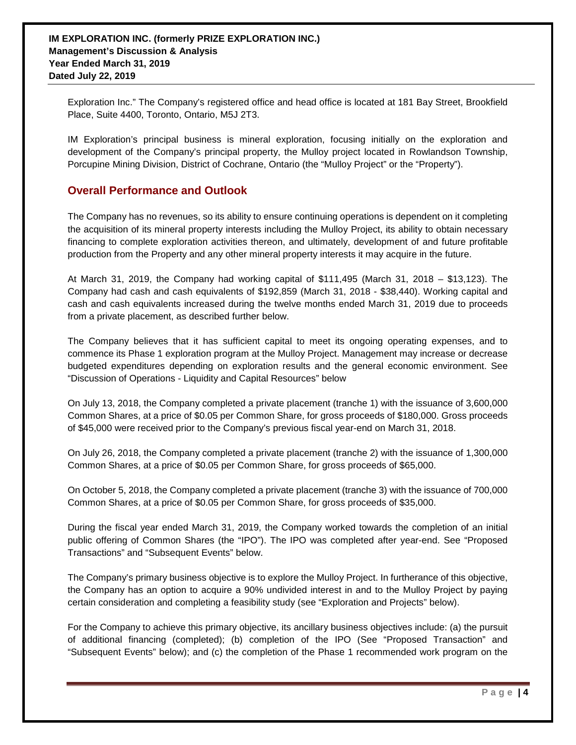Exploration Inc." The Company's registered office and head office is located at 181 Bay Street, Brookfield Place, Suite 4400, Toronto, Ontario, M5J 2T3.

IM Exploration's principal business is mineral exploration, focusing initially on the exploration and development of the Company's principal property, the Mulloy project located in Rowlandson Township, Porcupine Mining Division, District of Cochrane, Ontario (the "Mulloy Project" or the "Property").

### **Overall Performance and Outlook**

The Company has no revenues, so its ability to ensure continuing operations is dependent on it completing the acquisition of its mineral property interests including the Mulloy Project, its ability to obtain necessary financing to complete exploration activities thereon, and ultimately, development of and future profitable production from the Property and any other mineral property interests it may acquire in the future.

At March 31, 2019, the Company had working capital of \$111,495 (March 31, 2018 – \$13,123). The Company had cash and cash equivalents of \$192,859 (March 31, 2018 - \$38,440). Working capital and cash and cash equivalents increased during the twelve months ended March 31, 2019 due to proceeds from a private placement, as described further below.

The Company believes that it has sufficient capital to meet its ongoing operating expenses, and to commence its Phase 1 exploration program at the Mulloy Project. Management may increase or decrease budgeted expenditures depending on exploration results and the general economic environment. See "Discussion of Operations - Liquidity and Capital Resources" below

On July 13, 2018, the Company completed a private placement (tranche 1) with the issuance of 3,600,000 Common Shares, at a price of \$0.05 per Common Share, for gross proceeds of \$180,000. Gross proceeds of \$45,000 were received prior to the Company's previous fiscal year-end on March 31, 2018.

On July 26, 2018, the Company completed a private placement (tranche 2) with the issuance of 1,300,000 Common Shares, at a price of \$0.05 per Common Share, for gross proceeds of \$65,000.

On October 5, 2018, the Company completed a private placement (tranche 3) with the issuance of 700,000 Common Shares, at a price of \$0.05 per Common Share, for gross proceeds of \$35,000.

During the fiscal year ended March 31, 2019, the Company worked towards the completion of an initial public offering of Common Shares (the "IPO"). The IPO was completed after year-end. See "Proposed Transactions" and "Subsequent Events" below.

The Company's primary business objective is to explore the Mulloy Project. In furtherance of this objective, the Company has an option to acquire a 90% undivided interest in and to the Mulloy Project by paying certain consideration and completing a feasibility study (see "Exploration and Projects" below).

For the Company to achieve this primary objective, its ancillary business objectives include: (a) the pursuit of additional financing (completed); (b) completion of the IPO (See "Proposed Transaction" and "Subsequent Events" below); and (c) the completion of the Phase 1 recommended work program on the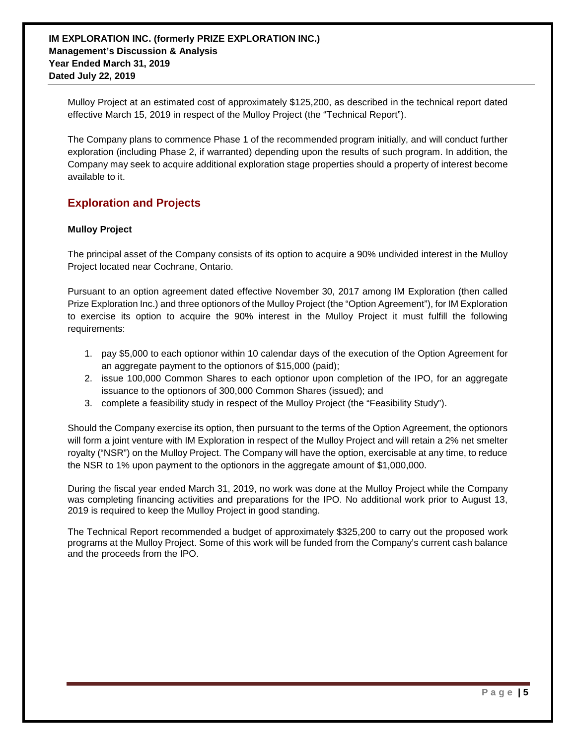Mulloy Project at an estimated cost of approximately \$125,200, as described in the technical report dated effective March 15, 2019 in respect of the Mulloy Project (the "Technical Report").

The Company plans to commence Phase 1 of the recommended program initially, and will conduct further exploration (including Phase 2, if warranted) depending upon the results of such program. In addition, the Company may seek to acquire additional exploration stage properties should a property of interest become available to it.

# **Exploration and Projects**

#### **Mulloy Project**

The principal asset of the Company consists of its option to acquire a 90% undivided interest in the Mulloy Project located near Cochrane, Ontario.

Pursuant to an option agreement dated effective November 30, 2017 among IM Exploration (then called Prize Exploration Inc.) and three optionors of the Mulloy Project (the "Option Agreement"), for IM Exploration to exercise its option to acquire the 90% interest in the Mulloy Project it must fulfill the following requirements:

- 1. pay \$5,000 to each optionor within 10 calendar days of the execution of the Option Agreement for an aggregate payment to the optionors of \$15,000 (paid);
- 2. issue 100,000 Common Shares to each optionor upon completion of the IPO, for an aggregate issuance to the optionors of 300,000 Common Shares (issued); and
- 3. complete a feasibility study in respect of the Mulloy Project (the "Feasibility Study").

Should the Company exercise its option, then pursuant to the terms of the Option Agreement, the optionors will form a joint venture with IM Exploration in respect of the Mulloy Project and will retain a 2% net smelter royalty ("NSR") on the Mulloy Project. The Company will have the option, exercisable at any time, to reduce the NSR to 1% upon payment to the optionors in the aggregate amount of \$1,000,000.

During the fiscal year ended March 31, 2019, no work was done at the Mulloy Project while the Company was completing financing activities and preparations for the IPO. No additional work prior to August 13, 2019 is required to keep the Mulloy Project in good standing.

The Technical Report recommended a budget of approximately \$325,200 to carry out the proposed work programs at the Mulloy Project. Some of this work will be funded from the Company's current cash balance and the proceeds from the IPO.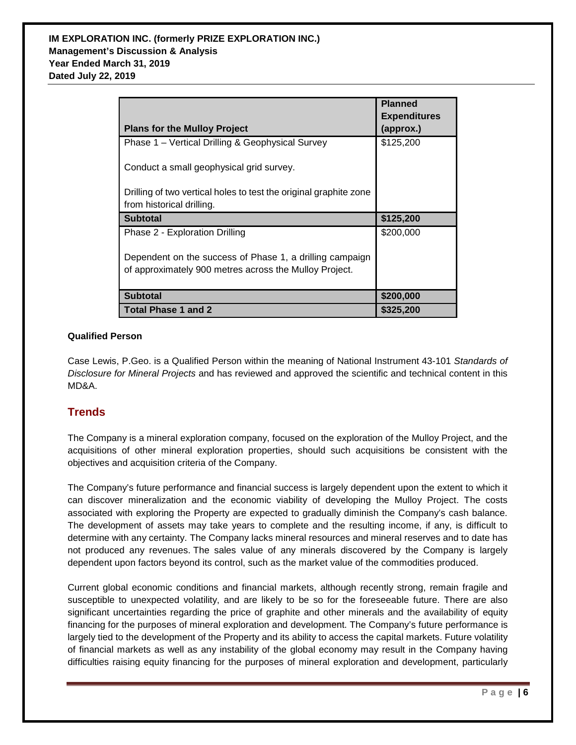|                                                                                                | <b>Planned</b>                   |
|------------------------------------------------------------------------------------------------|----------------------------------|
| <b>Plans for the Mulloy Project</b>                                                            | <b>Expenditures</b><br>(approx.) |
| Phase 1 – Vertical Drilling & Geophysical Survey                                               | \$125,200                        |
| Conduct a small geophysical grid survey.                                                       |                                  |
| Drilling of two vertical holes to test the original graphite zone<br>from historical drilling. |                                  |
| <b>Subtotal</b>                                                                                | \$125,200                        |
| Phase 2 - Exploration Drilling                                                                 | \$200,000                        |
| Dependent on the success of Phase 1, a drilling campaign                                       |                                  |
| of approximately 900 metres across the Mulloy Project.                                         |                                  |
| <b>Subtotal</b>                                                                                | \$200,000                        |
| Total Phase 1 and 2                                                                            | \$325,200                        |

### **Qualified Person**

Case Lewis, P.Geo. is a Qualified Person within the meaning of National Instrument 43-101 *Standards of Disclosure for Mineral Projects* and has reviewed and approved the scientific and technical content in this MD&A.

# **Trends**

The Company is a mineral exploration company, focused on the exploration of the Mulloy Project, and the acquisitions of other mineral exploration properties, should such acquisitions be consistent with the objectives and acquisition criteria of the Company.

The Company's future performance and financial success is largely dependent upon the extent to which it can discover mineralization and the economic viability of developing the Mulloy Project. The costs associated with exploring the Property are expected to gradually diminish the Company's cash balance. The development of assets may take years to complete and the resulting income, if any, is difficult to determine with any certainty. The Company lacks mineral resources and mineral reserves and to date has not produced any revenues. The sales value of any minerals discovered by the Company is largely dependent upon factors beyond its control, such as the market value of the commodities produced.

Current global economic conditions and financial markets, although recently strong, remain fragile and susceptible to unexpected volatility, and are likely to be so for the foreseeable future. There are also significant uncertainties regarding the price of graphite and other minerals and the availability of equity financing for the purposes of mineral exploration and development. The Company's future performance is largely tied to the development of the Property and its ability to access the capital markets. Future volatility of financial markets as well as any instability of the global economy may result in the Company having difficulties raising equity financing for the purposes of mineral exploration and development, particularly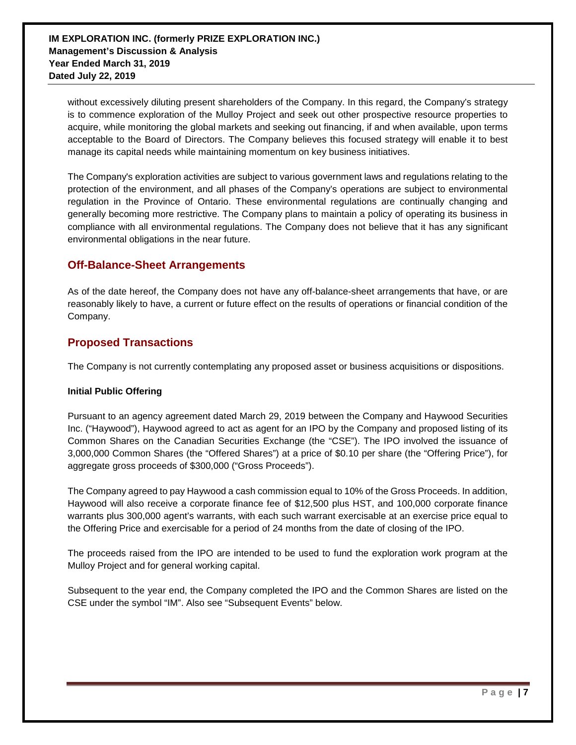without excessively diluting present shareholders of the Company. In this regard, the Company's strategy is to commence exploration of the Mulloy Project and seek out other prospective resource properties to acquire, while monitoring the global markets and seeking out financing, if and when available, upon terms acceptable to the Board of Directors. The Company believes this focused strategy will enable it to best manage its capital needs while maintaining momentum on key business initiatives.

The Company's exploration activities are subject to various government laws and regulations relating to the protection of the environment, and all phases of the Company's operations are subject to environmental regulation in the Province of Ontario. These environmental regulations are continually changing and generally becoming more restrictive. The Company plans to maintain a policy of operating its business in compliance with all environmental regulations. The Company does not believe that it has any significant environmental obligations in the near future.

### **Off-Balance-Sheet Arrangements**

As of the date hereof, the Company does not have any off-balance-sheet arrangements that have, or are reasonably likely to have, a current or future effect on the results of operations or financial condition of the Company.

### **Proposed Transactions**

The Company is not currently contemplating any proposed asset or business acquisitions or dispositions.

#### **Initial Public Offering**

Pursuant to an agency agreement dated March 29, 2019 between the Company and Haywood Securities Inc. ("Haywood"), Haywood agreed to act as agent for an IPO by the Company and proposed listing of its Common Shares on the Canadian Securities Exchange (the "CSE"). The IPO involved the issuance of 3,000,000 Common Shares (the "Offered Shares") at a price of \$0.10 per share (the "Offering Price"), for aggregate gross proceeds of \$300,000 ("Gross Proceeds").

The Company agreed to pay Haywood a cash commission equal to 10% of the Gross Proceeds. In addition, Haywood will also receive a corporate finance fee of \$12,500 plus HST, and 100,000 corporate finance warrants plus 300,000 agent's warrants, with each such warrant exercisable at an exercise price equal to the Offering Price and exercisable for a period of 24 months from the date of closing of the IPO.

The proceeds raised from the IPO are intended to be used to fund the exploration work program at the Mulloy Project and for general working capital.

Subsequent to the year end, the Company completed the IPO and the Common Shares are listed on the CSE under the symbol "IM". Also see "Subsequent Events" below.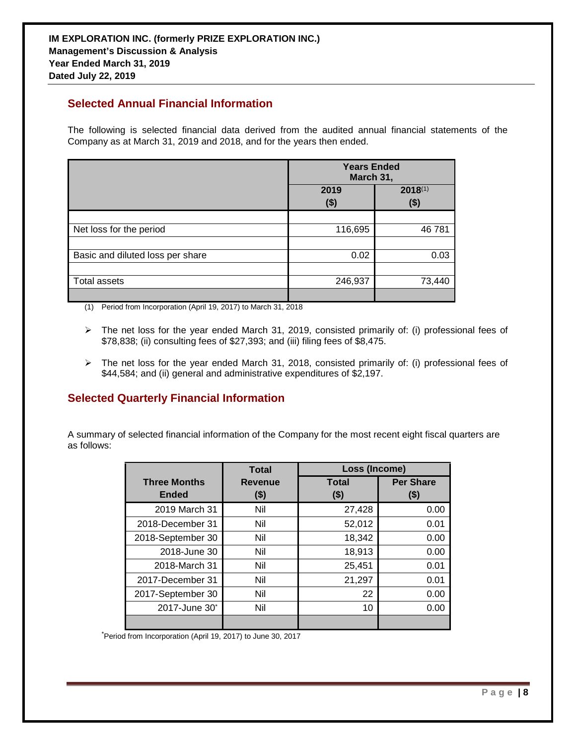# **Selected Annual Financial Information**

The following is selected financial data derived from the audited annual financial statements of the Company as at March 31, 2019 and 2018, and for the years then ended.

|                                  | <b>Years Ended</b><br>March 31, |                     |
|----------------------------------|---------------------------------|---------------------|
|                                  | 2019<br>$($ \$)                 | $2018^{(1)}$<br>\$) |
|                                  |                                 |                     |
| Net loss for the period          | 116,695                         | 46 781              |
|                                  |                                 |                     |
| Basic and diluted loss per share | 0.02                            | 0.03                |
|                                  |                                 |                     |
| <b>Total assets</b>              | 246,937                         | 73,440              |
|                                  |                                 |                     |

(1) Period from Incorporation (April 19, 2017) to March 31, 2018

- $\triangleright$  The net loss for the year ended March 31, 2019, consisted primarily of: (i) professional fees of \$78,838; (ii) consulting fees of \$27,393; and (iii) filing fees of \$8,475.
- $\triangleright$  The net loss for the year ended March 31, 2018, consisted primarily of: (i) professional fees of \$44,584; and (ii) general and administrative expenditures of \$2,197.

# **Selected Quarterly Financial Information**

A summary of selected financial information of the Company for the most recent eight fiscal quarters are as follows:

|                                     | <b>Total</b>              | Loss (Income)           |                             |
|-------------------------------------|---------------------------|-------------------------|-----------------------------|
| <b>Three Months</b><br><b>Ended</b> | <b>Revenue</b><br>$($ \$) | <b>Total</b><br>$($ \$) | <b>Per Share</b><br>$($ \$) |
| 2019 March 31                       | Nil                       | 27,428                  | 0.00                        |
| 2018-December 31                    | Nil                       | 52,012                  | 0.01                        |
| 2018-September 30                   | Nil                       | 18,342                  | 0.00                        |
| 2018-June 30                        | Nil                       | 18,913                  | 0.00                        |
| 2018-March 31                       | Nil                       | 25,451                  | 0.01                        |
| 2017-December 31                    | Nil                       | 21,297                  | 0.01                        |
| 2017-September 30                   | Nil                       | 22                      | 0.00                        |
| 2017-June 30 <sup>*</sup>           | Nil                       | 10                      | 0.00                        |
|                                     |                           |                         |                             |

\* Period from Incorporation (April 19, 2017) to June 30, 2017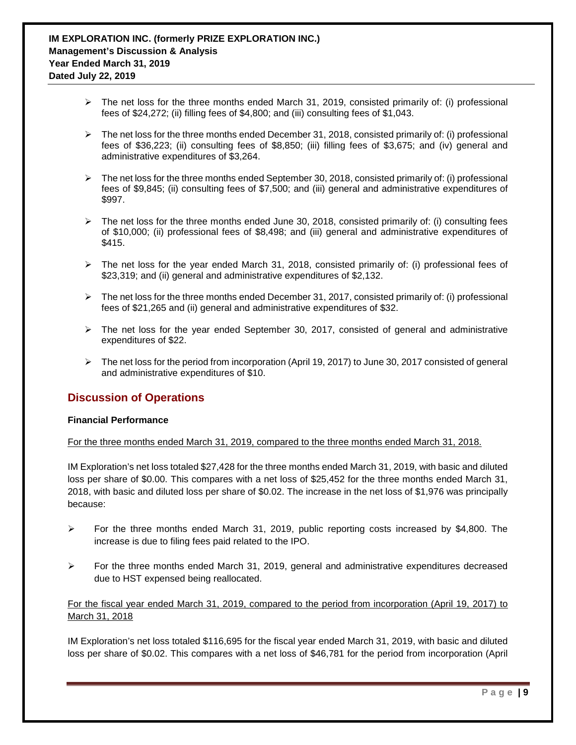- $\triangleright$  The net loss for the three months ended March 31, 2019, consisted primarily of: (i) professional fees of \$24,272; (ii) filling fees of \$4,800; and (iii) consulting fees of \$1,043.
- $\triangleright$  The net loss for the three months ended December 31, 2018, consisted primarily of: (i) professional fees of \$36,223; (ii) consulting fees of \$8,850; (iii) filling fees of \$3,675; and (iv) general and administrative expenditures of \$3,264.
- $\triangleright$  The net loss for the three months ended September 30, 2018, consisted primarily of: (i) professional fees of \$9,845; (ii) consulting fees of \$7,500; and (iii) general and administrative expenditures of \$997.
- $\triangleright$  The net loss for the three months ended June 30, 2018, consisted primarily of: (i) consulting fees of \$10,000; (ii) professional fees of \$8,498; and (iii) general and administrative expenditures of \$415.
- $\triangleright$  The net loss for the year ended March 31, 2018, consisted primarily of: (i) professional fees of \$23,319; and (ii) general and administrative expenditures of \$2,132.
- $\triangleright$  The net loss for the three months ended December 31, 2017, consisted primarily of: (i) professional fees of \$21,265 and (ii) general and administrative expenditures of \$32.
- $\triangleright$  The net loss for the year ended September 30, 2017, consisted of general and administrative expenditures of \$22.
- $\triangleright$  The net loss for the period from incorporation (April 19, 2017) to June 30, 2017 consisted of general and administrative expenditures of \$10.

# **Discussion of Operations**

### **Financial Performance**

For the three months ended March 31, 2019, compared to the three months ended March 31, 2018.

IM Exploration's net loss totaled \$27,428 for the three months ended March 31, 2019, with basic and diluted loss per share of \$0.00. This compares with a net loss of \$25,452 for the three months ended March 31, 2018, with basic and diluted loss per share of \$0.02. The increase in the net loss of \$1,976 was principally because:

- $\triangleright$  For the three months ended March 31, 2019, public reporting costs increased by \$4,800. The increase is due to filing fees paid related to the IPO.
- $\triangleright$  For the three months ended March 31, 2019, general and administrative expenditures decreased due to HST expensed being reallocated.

For the fiscal year ended March 31, 2019, compared to the period from incorporation (April 19, 2017) to March 31, 2018

IM Exploration's net loss totaled \$116,695 for the fiscal year ended March 31, 2019, with basic and diluted loss per share of \$0.02. This compares with a net loss of \$46,781 for the period from incorporation (April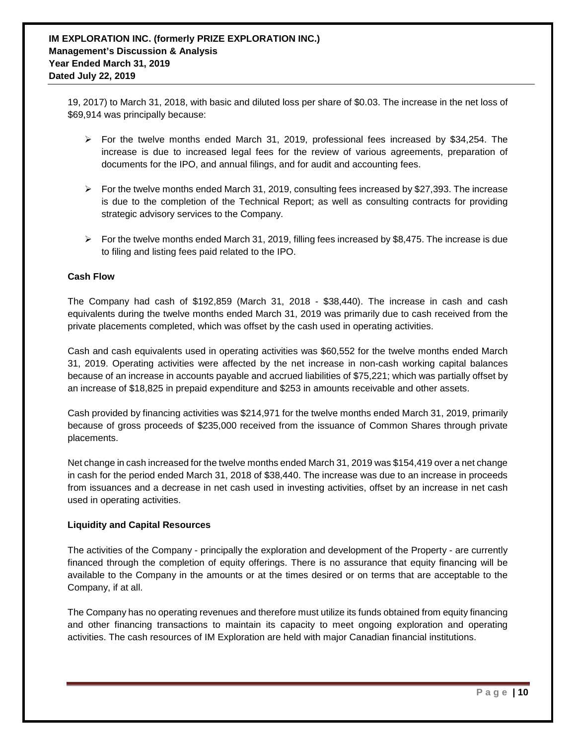19, 2017) to March 31, 2018, with basic and diluted loss per share of \$0.03. The increase in the net loss of \$69,914 was principally because:

- $\triangleright$  For the twelve months ended March 31, 2019, professional fees increased by \$34,254. The increase is due to increased legal fees for the review of various agreements, preparation of documents for the IPO, and annual filings, and for audit and accounting fees.
- $\triangleright$  For the twelve months ended March 31, 2019, consulting fees increased by \$27,393. The increase is due to the completion of the Technical Report; as well as consulting contracts for providing strategic advisory services to the Company.
- $\triangleright$  For the twelve months ended March 31, 2019, filling fees increased by \$8,475. The increase is due to filing and listing fees paid related to the IPO.

#### **Cash Flow**

The Company had cash of \$192,859 (March 31, 2018 - \$38,440). The increase in cash and cash equivalents during the twelve months ended March 31, 2019 was primarily due to cash received from the private placements completed, which was offset by the cash used in operating activities.

Cash and cash equivalents used in operating activities was \$60,552 for the twelve months ended March 31, 2019. Operating activities were affected by the net increase in non-cash working capital balances because of an increase in accounts payable and accrued liabilities of \$75,221; which was partially offset by an increase of \$18,825 in prepaid expenditure and \$253 in amounts receivable and other assets.

Cash provided by financing activities was \$214,971 for the twelve months ended March 31, 2019, primarily because of gross proceeds of \$235,000 received from the issuance of Common Shares through private placements.

Net change in cash increased for the twelve months ended March 31, 2019 was \$154,419 over a net change in cash for the period ended March 31, 2018 of \$38,440. The increase was due to an increase in proceeds from issuances and a decrease in net cash used in investing activities, offset by an increase in net cash used in operating activities.

#### **Liquidity and Capital Resources**

The activities of the Company - principally the exploration and development of the Property - are currently financed through the completion of equity offerings. There is no assurance that equity financing will be available to the Company in the amounts or at the times desired or on terms that are acceptable to the Company, if at all.

The Company has no operating revenues and therefore must utilize its funds obtained from equity financing and other financing transactions to maintain its capacity to meet ongoing exploration and operating activities. The cash resources of IM Exploration are held with major Canadian financial institutions.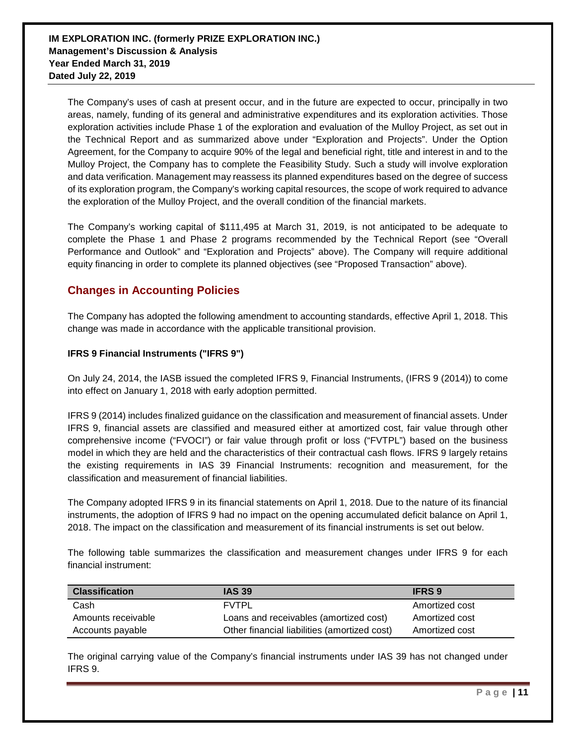The Company's uses of cash at present occur, and in the future are expected to occur, principally in two areas, namely, funding of its general and administrative expenditures and its exploration activities. Those exploration activities include Phase 1 of the exploration and evaluation of the Mulloy Project, as set out in the Technical Report and as summarized above under "Exploration and Projects". Under the Option Agreement, for the Company to acquire 90% of the legal and beneficial right, title and interest in and to the Mulloy Project, the Company has to complete the Feasibility Study. Such a study will involve exploration and data verification. Management may reassess its planned expenditures based on the degree of success of its exploration program, the Company's working capital resources, the scope of work required to advance the exploration of the Mulloy Project, and the overall condition of the financial markets.

The Company's working capital of \$111,495 at March 31, 2019, is not anticipated to be adequate to complete the Phase 1 and Phase 2 programs recommended by the Technical Report (see "Overall Performance and Outlook" and "Exploration and Projects" above). The Company will require additional equity financing in order to complete its planned objectives (see "Proposed Transaction" above).

# **Changes in Accounting Policies**

The Company has adopted the following amendment to accounting standards, effective April 1, 2018. This change was made in accordance with the applicable transitional provision.

### **IFRS 9 Financial Instruments ("IFRS 9")**

On July 24, 2014, the IASB issued the completed IFRS 9, Financial Instruments, (IFRS 9 (2014)) to come into effect on January 1, 2018 with early adoption permitted.

IFRS 9 (2014) includes finalized guidance on the classification and measurement of financial assets. Under IFRS 9, financial assets are classified and measured either at amortized cost, fair value through other comprehensive income ("FVOCI") or fair value through profit or loss ("FVTPL") based on the business model in which they are held and the characteristics of their contractual cash flows. IFRS 9 largely retains the existing requirements in IAS 39 Financial Instruments: recognition and measurement, for the classification and measurement of financial liabilities.

The Company adopted IFRS 9 in its financial statements on April 1, 2018. Due to the nature of its financial instruments, the adoption of IFRS 9 had no impact on the opening accumulated deficit balance on April 1, 2018. The impact on the classification and measurement of its financial instruments is set out below.

The following table summarizes the classification and measurement changes under IFRS 9 for each financial instrument:

| <b>Classification</b> | <b>IAS 39</b>                                | <b>IFRS 9</b>  |
|-----------------------|----------------------------------------------|----------------|
| Cash                  | <b>FVTPL</b>                                 | Amortized cost |
| Amounts receivable    | Loans and receivables (amortized cost)       | Amortized cost |
| Accounts payable      | Other financial liabilities (amortized cost) | Amortized cost |

The original carrying value of the Company's financial instruments under IAS 39 has not changed under IFRS 9.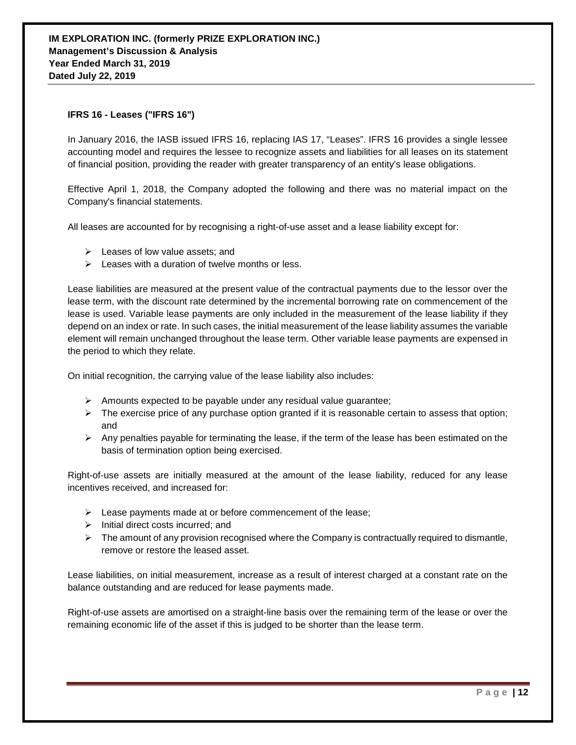#### **IFRS 16 - Leases ("IFRS 16")**

In January 2016, the IASB issued IFRS 16, replacing IAS 17, "Leases". IFRS 16 provides a single lessee accounting model and requires the lessee to recognize assets and liabilities for all leases on its statement of financial position, providing the reader with greater transparency of an entity's lease obligations.

Effective April 1, 2018, the Company adopted the following and there was no material impact on the Company's financial statements.

All leases are accounted for by recognising a right-of-use asset and a lease liability except for:

- $\triangleright$  Leases of low value assets: and
- $\triangleright$  Leases with a duration of twelve months or less.

Lease liabilities are measured at the present value of the contractual payments due to the lessor over the lease term, with the discount rate determined by the incremental borrowing rate on commencement of the lease is used. Variable lease payments are only included in the measurement of the lease liability if they depend on an index or rate. In such cases, the initial measurement of the lease liability assumes the variable element will remain unchanged throughout the lease term. Other variable lease payments are expensed in the period to which they relate.

On initial recognition, the carrying value of the lease liability also includes:

- $\triangleright$  Amounts expected to be payable under any residual value guarantee;
- $\triangleright$  The exercise price of any purchase option granted if it is reasonable certain to assess that option; and
- $\triangleright$  Any penalties payable for terminating the lease, if the term of the lease has been estimated on the basis of termination option being exercised.

Right-of-use assets are initially measured at the amount of the lease liability, reduced for any lease incentives received, and increased for:

- $\triangleright$  Lease payments made at or before commencement of the lease;
- $\triangleright$  Initial direct costs incurred; and
- $\triangleright$  The amount of any provision recognised where the Company is contractually required to dismantle, remove or restore the leased asset.

Lease liabilities, on initial measurement, increase as a result of interest charged at a constant rate on the balance outstanding and are reduced for lease payments made.

Right-of-use assets are amortised on a straight-line basis over the remaining term of the lease or over the remaining economic life of the asset if this is judged to be shorter than the lease term.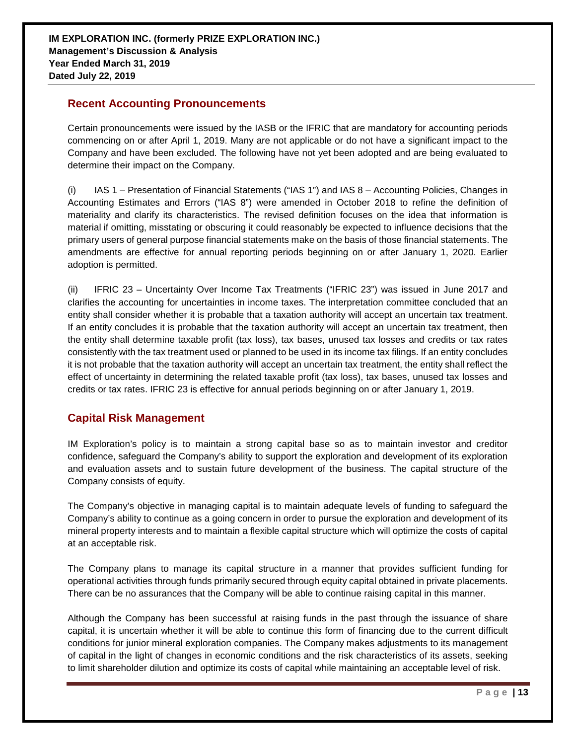# **Recent Accounting Pronouncements**

Certain pronouncements were issued by the IASB or the IFRIC that are mandatory for accounting periods commencing on or after April 1, 2019. Many are not applicable or do not have a significant impact to the Company and have been excluded. The following have not yet been adopted and are being evaluated to determine their impact on the Company.

(i) IAS 1 – Presentation of Financial Statements ("IAS 1") and IAS 8 – Accounting Policies, Changes in Accounting Estimates and Errors ("IAS 8") were amended in October 2018 to refine the definition of materiality and clarify its characteristics. The revised definition focuses on the idea that information is material if omitting, misstating or obscuring it could reasonably be expected to influence decisions that the primary users of general purpose financial statements make on the basis of those financial statements. The amendments are effective for annual reporting periods beginning on or after January 1, 2020. Earlier adoption is permitted.

(ii) IFRIC 23 – Uncertainty Over Income Tax Treatments ("IFRIC 23") was issued in June 2017 and clarifies the accounting for uncertainties in income taxes. The interpretation committee concluded that an entity shall consider whether it is probable that a taxation authority will accept an uncertain tax treatment. If an entity concludes it is probable that the taxation authority will accept an uncertain tax treatment, then the entity shall determine taxable profit (tax loss), tax bases, unused tax losses and credits or tax rates consistently with the tax treatment used or planned to be used in its income tax filings. If an entity concludes it is not probable that the taxation authority will accept an uncertain tax treatment, the entity shall reflect the effect of uncertainty in determining the related taxable profit (tax loss), tax bases, unused tax losses and credits or tax rates. IFRIC 23 is effective for annual periods beginning on or after January 1, 2019.

# **Capital Risk Management**

IM Exploration's policy is to maintain a strong capital base so as to maintain investor and creditor confidence, safeguard the Company's ability to support the exploration and development of its exploration and evaluation assets and to sustain future development of the business. The capital structure of the Company consists of equity.

The Company's objective in managing capital is to maintain adequate levels of funding to safeguard the Company's ability to continue as a going concern in order to pursue the exploration and development of its mineral property interests and to maintain a flexible capital structure which will optimize the costs of capital at an acceptable risk.

The Company plans to manage its capital structure in a manner that provides sufficient funding for operational activities through funds primarily secured through equity capital obtained in private placements. There can be no assurances that the Company will be able to continue raising capital in this manner.

Although the Company has been successful at raising funds in the past through the issuance of share capital, it is uncertain whether it will be able to continue this form of financing due to the current difficult conditions for junior mineral exploration companies. The Company makes adjustments to its management of capital in the light of changes in economic conditions and the risk characteristics of its assets, seeking to limit shareholder dilution and optimize its costs of capital while maintaining an acceptable level of risk.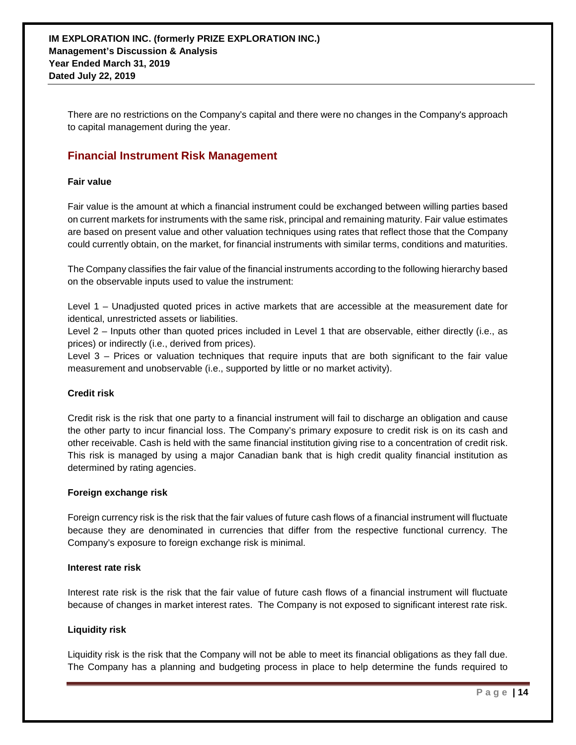There are no restrictions on the Company's capital and there were no changes in the Company's approach to capital management during the year.

# **Financial Instrument Risk Management**

#### **Fair value**

Fair value is the amount at which a financial instrument could be exchanged between willing parties based on current markets for instruments with the same risk, principal and remaining maturity. Fair value estimates are based on present value and other valuation techniques using rates that reflect those that the Company could currently obtain, on the market, for financial instruments with similar terms, conditions and maturities.

The Company classifies the fair value of the financial instruments according to the following hierarchy based on the observable inputs used to value the instrument:

Level 1 – Unadjusted quoted prices in active markets that are accessible at the measurement date for identical, unrestricted assets or liabilities.

Level 2 – Inputs other than quoted prices included in Level 1 that are observable, either directly (i.e., as prices) or indirectly (i.e., derived from prices).

Level 3 – Prices or valuation techniques that require inputs that are both significant to the fair value measurement and unobservable (i.e., supported by little or no market activity).

#### **Credit risk**

Credit risk is the risk that one party to a financial instrument will fail to discharge an obligation and cause the other party to incur financial loss. The Company's primary exposure to credit risk is on its cash and other receivable. Cash is held with the same financial institution giving rise to a concentration of credit risk. This risk is managed by using a major Canadian bank that is high credit quality financial institution as determined by rating agencies.

#### **Foreign exchange risk**

Foreign currency risk is the risk that the fair values of future cash flows of a financial instrument will fluctuate because they are denominated in currencies that differ from the respective functional currency. The Company's exposure to foreign exchange risk is minimal.

#### **Interest rate risk**

Interest rate risk is the risk that the fair value of future cash flows of a financial instrument will fluctuate because of changes in market interest rates. The Company is not exposed to significant interest rate risk.

### **Liquidity risk**

Liquidity risk is the risk that the Company will not be able to meet its financial obligations as they fall due. The Company has a planning and budgeting process in place to help determine the funds required to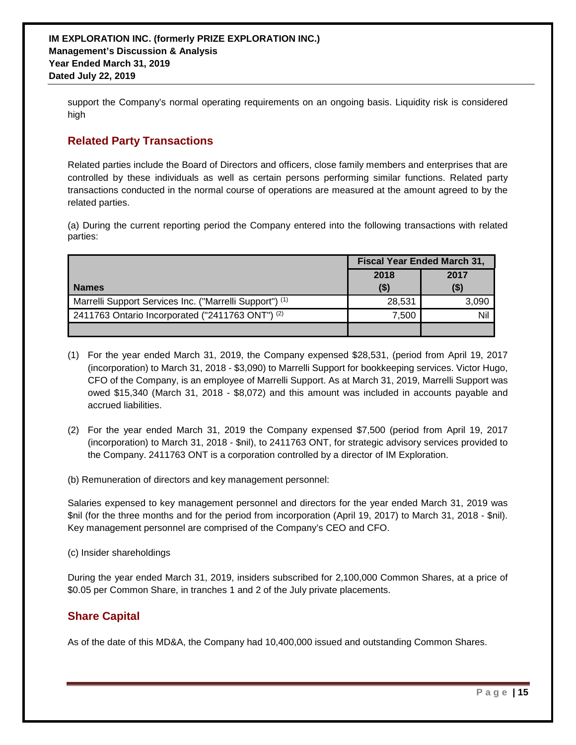support the Company's normal operating requirements on an ongoing basis. Liquidity risk is considered high

# **Related Party Transactions**

Related parties include the Board of Directors and officers, close family members and enterprises that are controlled by these individuals as well as certain persons performing similar functions. Related party transactions conducted in the normal course of operations are measured at the amount agreed to by the related parties.

(a) During the current reporting period the Company entered into the following transactions with related parties:

|                                                         | <b>Fiscal Year Ended March 31,</b> |        |
|---------------------------------------------------------|------------------------------------|--------|
|                                                         | 2018                               | 2017   |
| <b>Names</b>                                            | (\$)                               | ( \$ ) |
| Marrelli Support Services Inc. ("Marrelli Support") (1) | 28,531                             | 3,090  |
| 2411763 Ontario Incorporated ("2411763 ONT") (2)        | 7.500                              | Nil    |
|                                                         |                                    |        |

- (1) For the year ended March 31, 2019, the Company expensed \$28,531, (period from April 19, 2017 (incorporation) to March 31, 2018 - \$3,090) to Marrelli Support for bookkeeping services. Victor Hugo, CFO of the Company, is an employee of Marrelli Support. As at March 31, 2019, Marrelli Support was owed \$15,340 (March 31, 2018 - \$8,072) and this amount was included in accounts payable and accrued liabilities.
- (2) For the year ended March 31, 2019 the Company expensed \$7,500 (period from April 19, 2017 (incorporation) to March 31, 2018 - \$nil), to 2411763 ONT, for strategic advisory services provided to the Company. 2411763 ONT is a corporation controlled by a director of IM Exploration.
- (b) Remuneration of directors and key management personnel:

Salaries expensed to key management personnel and directors for the year ended March 31, 2019 was \$nil (for the three months and for the period from incorporation (April 19, 2017) to March 31, 2018 - \$nil). Key management personnel are comprised of the Company's CEO and CFO.

(c) Insider shareholdings

During the year ended March 31, 2019, insiders subscribed for 2,100,000 Common Shares, at a price of \$0.05 per Common Share, in tranches 1 and 2 of the July private placements.

# **Share Capital**

As of the date of this MD&A, the Company had 10,400,000 issued and outstanding Common Shares.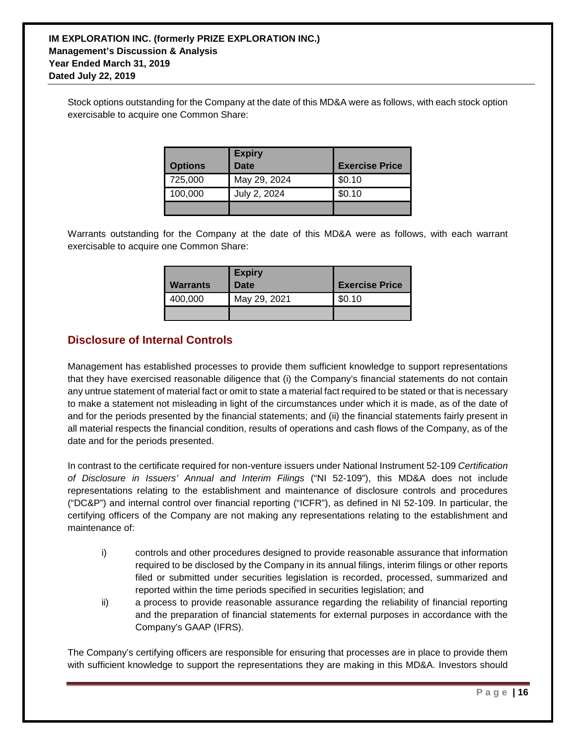Stock options outstanding for the Company at the date of this MD&A were as follows, with each stock option exercisable to acquire one Common Share:

| <b>Options</b> | <b>Expiry</b><br>Date | <b>Exercise Price</b> |
|----------------|-----------------------|-----------------------|
| 725,000        | May 29, 2024          | \$0.10                |
| 100,000        | July 2, 2024          | \$0.10                |
|                |                       |                       |

Warrants outstanding for the Company at the date of this MD&A were as follows, with each warrant exercisable to acquire one Common Share:

| <b>Warrants</b> | <b>Expiry</b><br>Date | <b>Exercise Price</b> |
|-----------------|-----------------------|-----------------------|
| 400,000         | May 29, 2021          | \$0.10                |
|                 |                       |                       |

# **Disclosure of Internal Controls**

Management has established processes to provide them sufficient knowledge to support representations that they have exercised reasonable diligence that (i) the Company's financial statements do not contain any untrue statement of material fact or omit to state a material fact required to be stated or that is necessary to make a statement not misleading in light of the circumstances under which it is made, as of the date of and for the periods presented by the financial statements; and (ii) the financial statements fairly present in all material respects the financial condition, results of operations and cash flows of the Company, as of the date and for the periods presented.

In contrast to the certificate required for non-venture issuers under National Instrument 52-109 *Certification of Disclosure in Issuers' Annual and Interim Filings* ("NI 52-109"), this MD&A does not include representations relating to the establishment and maintenance of disclosure controls and procedures ("DC&P") and internal control over financial reporting ("ICFR"), as defined in NI 52-109. In particular, the certifying officers of the Company are not making any representations relating to the establishment and maintenance of:

- i) controls and other procedures designed to provide reasonable assurance that information required to be disclosed by the Company in its annual filings, interim filings or other reports filed or submitted under securities legislation is recorded, processed, summarized and reported within the time periods specified in securities legislation; and
- ii) a process to provide reasonable assurance regarding the reliability of financial reporting and the preparation of financial statements for external purposes in accordance with the Company's GAAP (IFRS).

The Company's certifying officers are responsible for ensuring that processes are in place to provide them with sufficient knowledge to support the representations they are making in this MD&A. Investors should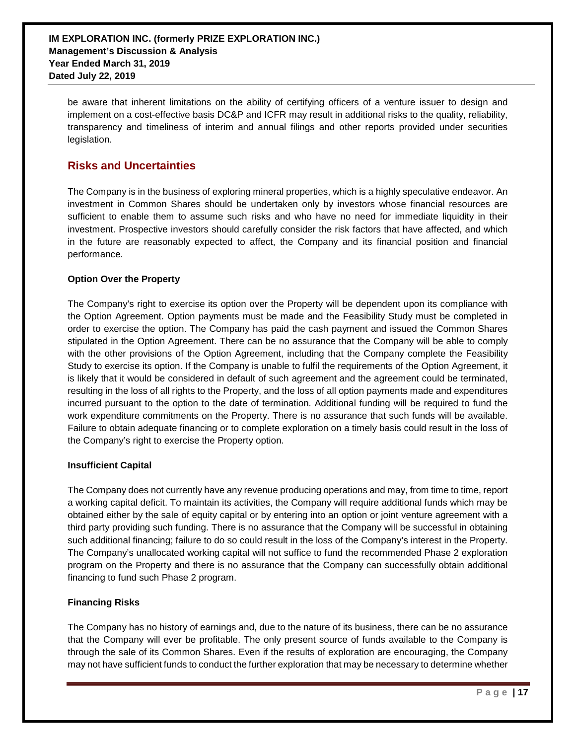be aware that inherent limitations on the ability of certifying officers of a venture issuer to design and implement on a cost-effective basis DC&P and ICFR may result in additional risks to the quality, reliability, transparency and timeliness of interim and annual filings and other reports provided under securities legislation.

# **Risks and Uncertainties**

The Company is in the business of exploring mineral properties, which is a highly speculative endeavor. An investment in Common Shares should be undertaken only by investors whose financial resources are sufficient to enable them to assume such risks and who have no need for immediate liquidity in their investment. Prospective investors should carefully consider the risk factors that have affected, and which in the future are reasonably expected to affect, the Company and its financial position and financial performance.

### **Option Over the Property**

The Company's right to exercise its option over the Property will be dependent upon its compliance with the Option Agreement. Option payments must be made and the Feasibility Study must be completed in order to exercise the option. The Company has paid the cash payment and issued the Common Shares stipulated in the Option Agreement. There can be no assurance that the Company will be able to comply with the other provisions of the Option Agreement, including that the Company complete the Feasibility Study to exercise its option. If the Company is unable to fulfil the requirements of the Option Agreement, it is likely that it would be considered in default of such agreement and the agreement could be terminated, resulting in the loss of all rights to the Property, and the loss of all option payments made and expenditures incurred pursuant to the option to the date of termination. Additional funding will be required to fund the work expenditure commitments on the Property. There is no assurance that such funds will be available. Failure to obtain adequate financing or to complete exploration on a timely basis could result in the loss of the Company's right to exercise the Property option.

### **Insufficient Capital**

The Company does not currently have any revenue producing operations and may, from time to time, report a working capital deficit. To maintain its activities, the Company will require additional funds which may be obtained either by the sale of equity capital or by entering into an option or joint venture agreement with a third party providing such funding. There is no assurance that the Company will be successful in obtaining such additional financing; failure to do so could result in the loss of the Company's interest in the Property. The Company's unallocated working capital will not suffice to fund the recommended Phase 2 exploration program on the Property and there is no assurance that the Company can successfully obtain additional financing to fund such Phase 2 program.

### **Financing Risks**

The Company has no history of earnings and, due to the nature of its business, there can be no assurance that the Company will ever be profitable. The only present source of funds available to the Company is through the sale of its Common Shares. Even if the results of exploration are encouraging, the Company may not have sufficient funds to conduct the further exploration that may be necessary to determine whether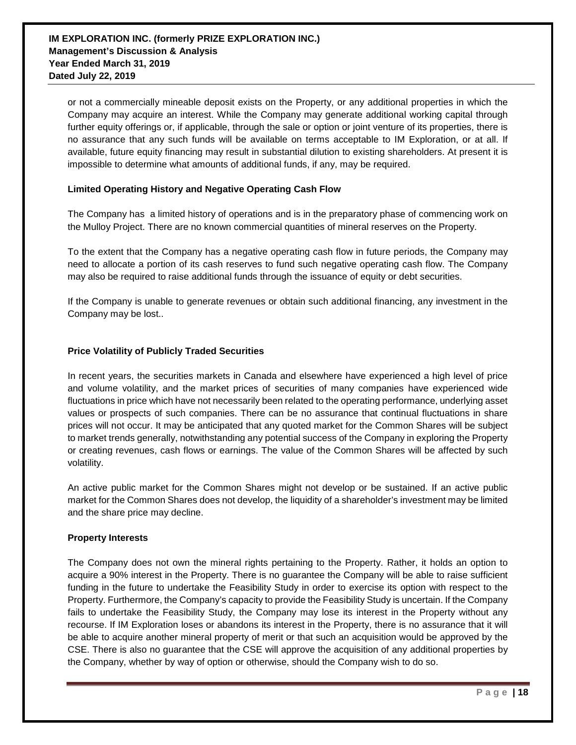or not a commercially mineable deposit exists on the Property, or any additional properties in which the Company may acquire an interest. While the Company may generate additional working capital through further equity offerings or, if applicable, through the sale or option or joint venture of its properties, there is no assurance that any such funds will be available on terms acceptable to IM Exploration, or at all. If available, future equity financing may result in substantial dilution to existing shareholders. At present it is impossible to determine what amounts of additional funds, if any, may be required.

### **Limited Operating History and Negative Operating Cash Flow**

The Company has a limited history of operations and is in the preparatory phase of commencing work on the Mulloy Project. There are no known commercial quantities of mineral reserves on the Property.

To the extent that the Company has a negative operating cash flow in future periods, the Company may need to allocate a portion of its cash reserves to fund such negative operating cash flow. The Company may also be required to raise additional funds through the issuance of equity or debt securities.

If the Company is unable to generate revenues or obtain such additional financing, any investment in the Company may be lost..

#### **Price Volatility of Publicly Traded Securities**

In recent years, the securities markets in Canada and elsewhere have experienced a high level of price and volume volatility, and the market prices of securities of many companies have experienced wide fluctuations in price which have not necessarily been related to the operating performance, underlying asset values or prospects of such companies. There can be no assurance that continual fluctuations in share prices will not occur. It may be anticipated that any quoted market for the Common Shares will be subject to market trends generally, notwithstanding any potential success of the Company in exploring the Property or creating revenues, cash flows or earnings. The value of the Common Shares will be affected by such volatility.

An active public market for the Common Shares might not develop or be sustained. If an active public market for the Common Shares does not develop, the liquidity of a shareholder's investment may be limited and the share price may decline.

#### **Property Interests**

The Company does not own the mineral rights pertaining to the Property. Rather, it holds an option to acquire a 90% interest in the Property. There is no guarantee the Company will be able to raise sufficient funding in the future to undertake the Feasibility Study in order to exercise its option with respect to the Property. Furthermore, the Company's capacity to provide the Feasibility Study is uncertain. If the Company fails to undertake the Feasibility Study, the Company may lose its interest in the Property without any recourse. If IM Exploration loses or abandons its interest in the Property, there is no assurance that it will be able to acquire another mineral property of merit or that such an acquisition would be approved by the CSE. There is also no guarantee that the CSE will approve the acquisition of any additional properties by the Company, whether by way of option or otherwise, should the Company wish to do so.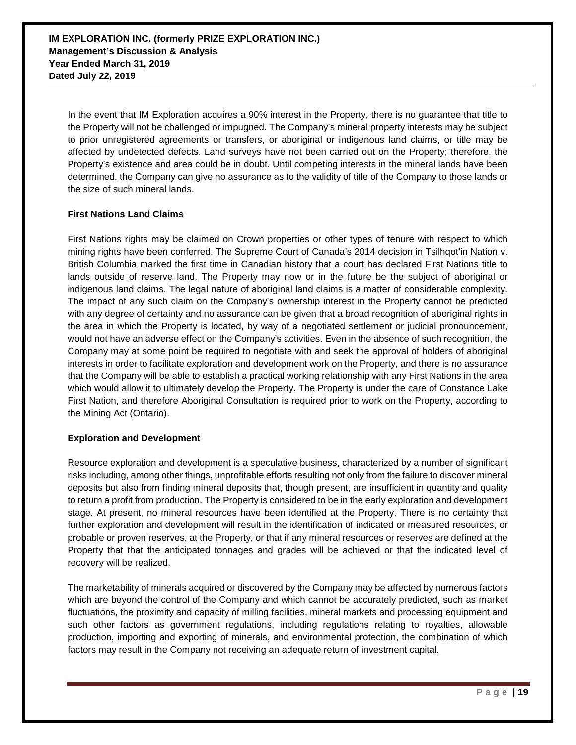In the event that IM Exploration acquires a 90% interest in the Property, there is no guarantee that title to the Property will not be challenged or impugned. The Company's mineral property interests may be subject to prior unregistered agreements or transfers, or aboriginal or indigenous land claims, or title may be affected by undetected defects. Land surveys have not been carried out on the Property; therefore, the Property's existence and area could be in doubt. Until competing interests in the mineral lands have been determined, the Company can give no assurance as to the validity of title of the Company to those lands or the size of such mineral lands.

### **First Nations Land Claims**

First Nations rights may be claimed on Crown properties or other types of tenure with respect to which mining rights have been conferred. The Supreme Court of Canada's 2014 decision in Tsilhqot'in Nation v. British Columbia marked the first time in Canadian history that a court has declared First Nations title to lands outside of reserve land. The Property may now or in the future be the subject of aboriginal or indigenous land claims. The legal nature of aboriginal land claims is a matter of considerable complexity. The impact of any such claim on the Company's ownership interest in the Property cannot be predicted with any degree of certainty and no assurance can be given that a broad recognition of aboriginal rights in the area in which the Property is located, by way of a negotiated settlement or judicial pronouncement, would not have an adverse effect on the Company's activities. Even in the absence of such recognition, the Company may at some point be required to negotiate with and seek the approval of holders of aboriginal interests in order to facilitate exploration and development work on the Property, and there is no assurance that the Company will be able to establish a practical working relationship with any First Nations in the area which would allow it to ultimately develop the Property. The Property is under the care of Constance Lake First Nation, and therefore Aboriginal Consultation is required prior to work on the Property, according to the Mining Act (Ontario).

### **Exploration and Development**

Resource exploration and development is a speculative business, characterized by a number of significant risks including, among other things, unprofitable efforts resulting not only from the failure to discover mineral deposits but also from finding mineral deposits that, though present, are insufficient in quantity and quality to return a profit from production. The Property is considered to be in the early exploration and development stage. At present, no mineral resources have been identified at the Property. There is no certainty that further exploration and development will result in the identification of indicated or measured resources, or probable or proven reserves, at the Property, or that if any mineral resources or reserves are defined at the Property that that the anticipated tonnages and grades will be achieved or that the indicated level of recovery will be realized.

The marketability of minerals acquired or discovered by the Company may be affected by numerous factors which are beyond the control of the Company and which cannot be accurately predicted, such as market fluctuations, the proximity and capacity of milling facilities, mineral markets and processing equipment and such other factors as government regulations, including regulations relating to royalties, allowable production, importing and exporting of minerals, and environmental protection, the combination of which factors may result in the Company not receiving an adequate return of investment capital.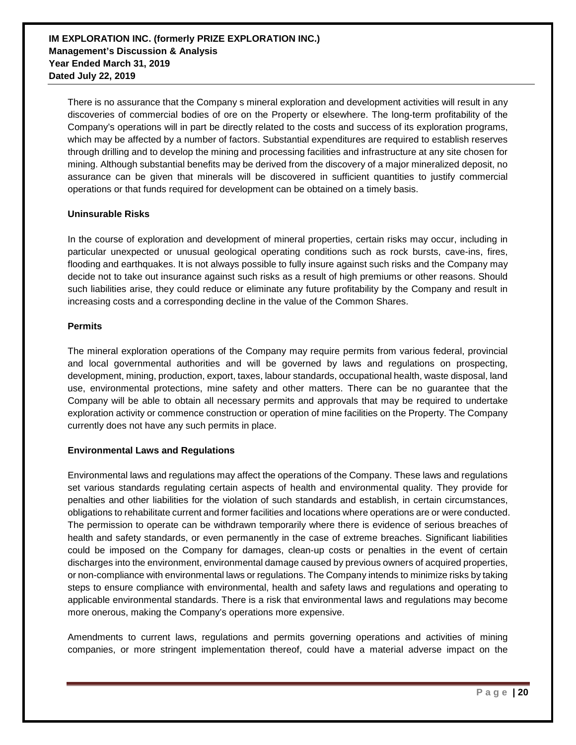There is no assurance that the Company s mineral exploration and development activities will result in any discoveries of commercial bodies of ore on the Property or elsewhere. The long-term profitability of the Company's operations will in part be directly related to the costs and success of its exploration programs, which may be affected by a number of factors. Substantial expenditures are required to establish reserves through drilling and to develop the mining and processing facilities and infrastructure at any site chosen for mining. Although substantial benefits may be derived from the discovery of a major mineralized deposit, no assurance can be given that minerals will be discovered in sufficient quantities to justify commercial operations or that funds required for development can be obtained on a timely basis.

#### **Uninsurable Risks**

In the course of exploration and development of mineral properties, certain risks may occur, including in particular unexpected or unusual geological operating conditions such as rock bursts, cave-ins, fires, flooding and earthquakes. It is not always possible to fully insure against such risks and the Company may decide not to take out insurance against such risks as a result of high premiums or other reasons. Should such liabilities arise, they could reduce or eliminate any future profitability by the Company and result in increasing costs and a corresponding decline in the value of the Common Shares.

#### **Permits**

The mineral exploration operations of the Company may require permits from various federal, provincial and local governmental authorities and will be governed by laws and regulations on prospecting, development, mining, production, export, taxes, labour standards, occupational health, waste disposal, land use, environmental protections, mine safety and other matters. There can be no guarantee that the Company will be able to obtain all necessary permits and approvals that may be required to undertake exploration activity or commence construction or operation of mine facilities on the Property. The Company currently does not have any such permits in place.

### **Environmental Laws and Regulations**

Environmental laws and regulations may affect the operations of the Company. These laws and regulations set various standards regulating certain aspects of health and environmental quality. They provide for penalties and other liabilities for the violation of such standards and establish, in certain circumstances, obligations to rehabilitate current and former facilities and locations where operations are or were conducted. The permission to operate can be withdrawn temporarily where there is evidence of serious breaches of health and safety standards, or even permanently in the case of extreme breaches. Significant liabilities could be imposed on the Company for damages, clean-up costs or penalties in the event of certain discharges into the environment, environmental damage caused by previous owners of acquired properties, or non-compliance with environmental laws or regulations. The Company intends to minimize risks by taking steps to ensure compliance with environmental, health and safety laws and regulations and operating to applicable environmental standards. There is a risk that environmental laws and regulations may become more onerous, making the Company's operations more expensive.

Amendments to current laws, regulations and permits governing operations and activities of mining companies, or more stringent implementation thereof, could have a material adverse impact on the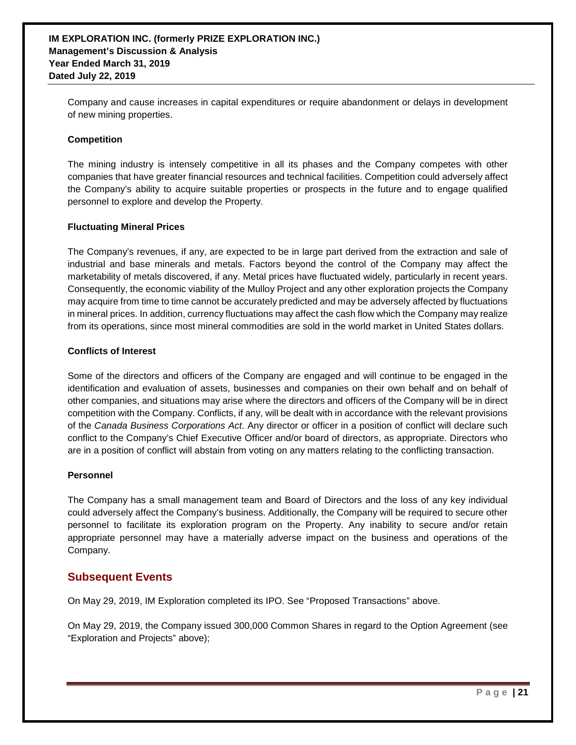Company and cause increases in capital expenditures or require abandonment or delays in development of new mining properties.

#### **Competition**

The mining industry is intensely competitive in all its phases and the Company competes with other companies that have greater financial resources and technical facilities. Competition could adversely affect the Company's ability to acquire suitable properties or prospects in the future and to engage qualified personnel to explore and develop the Property.

#### **Fluctuating Mineral Prices**

The Company's revenues, if any, are expected to be in large part derived from the extraction and sale of industrial and base minerals and metals. Factors beyond the control of the Company may affect the marketability of metals discovered, if any. Metal prices have fluctuated widely, particularly in recent years. Consequently, the economic viability of the Mulloy Project and any other exploration projects the Company may acquire from time to time cannot be accurately predicted and may be adversely affected by fluctuations in mineral prices. In addition, currency fluctuations may affect the cash flow which the Company may realize from its operations, since most mineral commodities are sold in the world market in United States dollars.

#### **Conflicts of Interest**

Some of the directors and officers of the Company are engaged and will continue to be engaged in the identification and evaluation of assets, businesses and companies on their own behalf and on behalf of other companies, and situations may arise where the directors and officers of the Company will be in direct competition with the Company. Conflicts, if any, will be dealt with in accordance with the relevant provisions of the *Canada Business Corporations Act*. Any director or officer in a position of conflict will declare such conflict to the Company's Chief Executive Officer and/or board of directors, as appropriate. Directors who are in a position of conflict will abstain from voting on any matters relating to the conflicting transaction.

### **Personnel**

The Company has a small management team and Board of Directors and the loss of any key individual could adversely affect the Company's business. Additionally, the Company will be required to secure other personnel to facilitate its exploration program on the Property. Any inability to secure and/or retain appropriate personnel may have a materially adverse impact on the business and operations of the Company.

### **Subsequent Events**

On May 29, 2019, IM Exploration completed its IPO. See "Proposed Transactions" above.

On May 29, 2019, the Company issued 300,000 Common Shares in regard to the Option Agreement (see "Exploration and Projects" above);